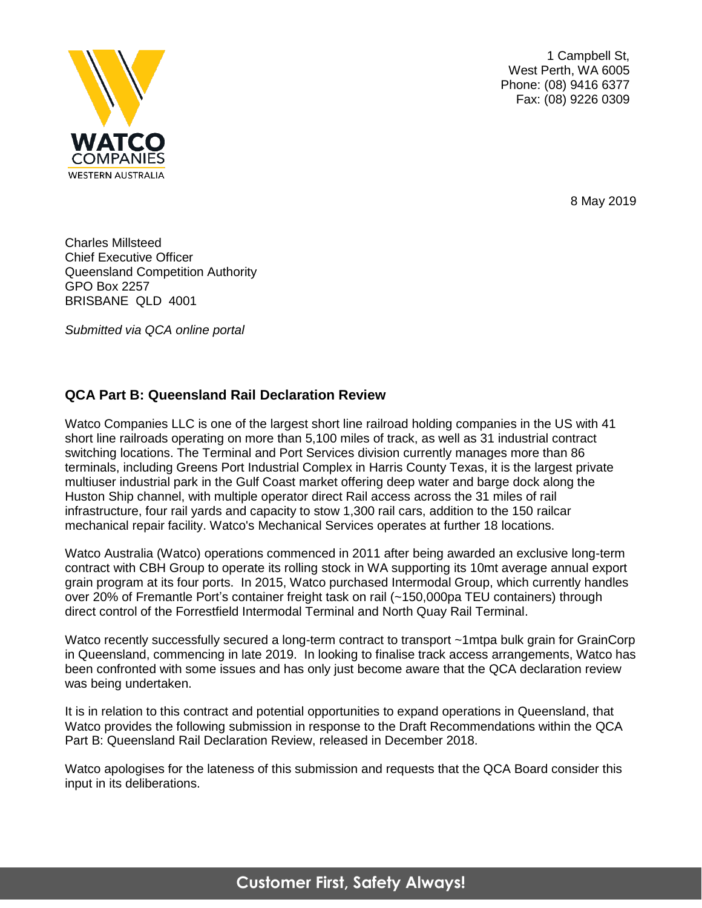

1 Campbell St, West Perth, WA 6005 Phone: (08) 9416 6377 Fax: (08) 9226 0309

8 May 2019

Charles Millsteed Chief Executive Officer Queensland Competition Authority GPO Box 2257 BRISBANE QLD 4001

*Submitted via QCA online portal*

## **QCA Part B: Queensland Rail Declaration Review**

Watco Companies LLC is one of the largest short line railroad holding companies in the US with 41 short line railroads operating on more than 5,100 miles of track, as well as 31 industrial contract switching locations. The Terminal and Port Services division currently manages more than 86 terminals, including Greens Port Industrial Complex in Harris County Texas, it is the largest private multiuser industrial park in the Gulf Coast market offering deep water and barge dock along the Huston Ship channel, with multiple operator direct Rail access across the 31 miles of rail infrastructure, four rail yards and capacity to stow 1,300 rail cars, addition to the 150 railcar mechanical repair facility. Watco's Mechanical Services operates at further 18 locations.

Watco Australia (Watco) operations commenced in 2011 after being awarded an exclusive long-term contract with CBH Group to operate its rolling stock in WA supporting its 10mt average annual export grain program at its four ports. In 2015, Watco purchased Intermodal Group, which currently handles over 20% of Fremantle Port's container freight task on rail (~150,000pa TEU containers) through direct control of the Forrestfield Intermodal Terminal and North Quay Rail Terminal.

Watco recently successfully secured a long-term contract to transport ~1mtpa bulk grain for GrainCorp in Queensland, commencing in late 2019. In looking to finalise track access arrangements, Watco has been confronted with some issues and has only just become aware that the QCA declaration review was being undertaken.

It is in relation to this contract and potential opportunities to expand operations in Queensland, that Watco provides the following submission in response to the Draft Recommendations within the QCA Part B: Queensland Rail Declaration Review, released in December 2018.

Watco apologises for the lateness of this submission and requests that the QCA Board consider this input in its deliberations.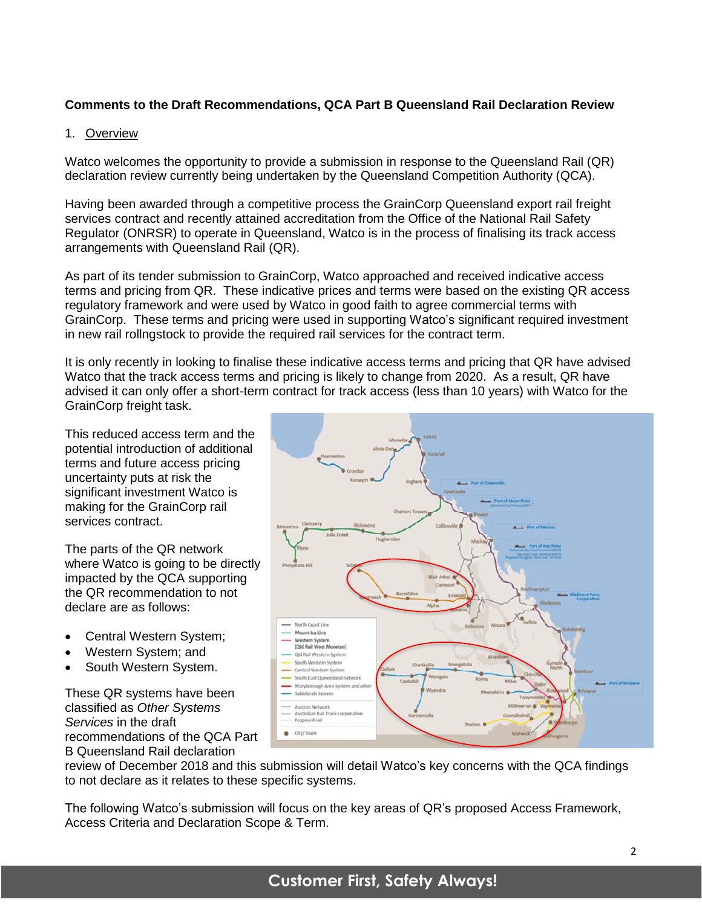## **Comments to the Draft Recommendations, QCA Part B Queensland Rail Declaration Review**

#### 1. Overview

Watco welcomes the opportunity to provide a submission in response to the Queensland Rail (QR) declaration review currently being undertaken by the Queensland Competition Authority (QCA).

Having been awarded through a competitive process the GrainCorp Queensland export rail freight services contract and recently attained accreditation from the Office of the National Rail Safety Regulator (ONRSR) to operate in Queensland, Watco is in the process of finalising its track access arrangements with Queensland Rail (QR).

As part of its tender submission to GrainCorp, Watco approached and received indicative access terms and pricing from QR. These indicative prices and terms were based on the existing QR access regulatory framework and were used by Watco in good faith to agree commercial terms with GrainCorp. These terms and pricing were used in supporting Watco's significant required investment in new rail rollngstock to provide the required rail services for the contract term.

It is only recently in looking to finalise these indicative access terms and pricing that QR have advised Watco that the track access terms and pricing is likely to change from 2020. As a result, QR have advised it can only offer a short-term contract for track access (less than 10 years) with Watco for the GrainCorp freight task.

This reduced access term and the potential introduction of additional terms and future access pricing uncertainty puts at risk the significant investment Watco is making for the GrainCorp rail services contract.

The parts of the QR network where Watco is going to be directly impacted by the QCA supporting the QR recommendation to not declare are as follows:

- Central Western System;
- Western System; and
- South Western System.

These QR systems have been classified as *Other Systems Services* in the draft recommendations of the QCA Part B Queensland Rail declaration



review of December 2018 and this submission will detail Watco's key concerns with the QCA findings to not declare as it relates to these specific systems.

The following Watco's submission will focus on the key areas of QR's proposed Access Framework, Access Criteria and Declaration Scope & Term.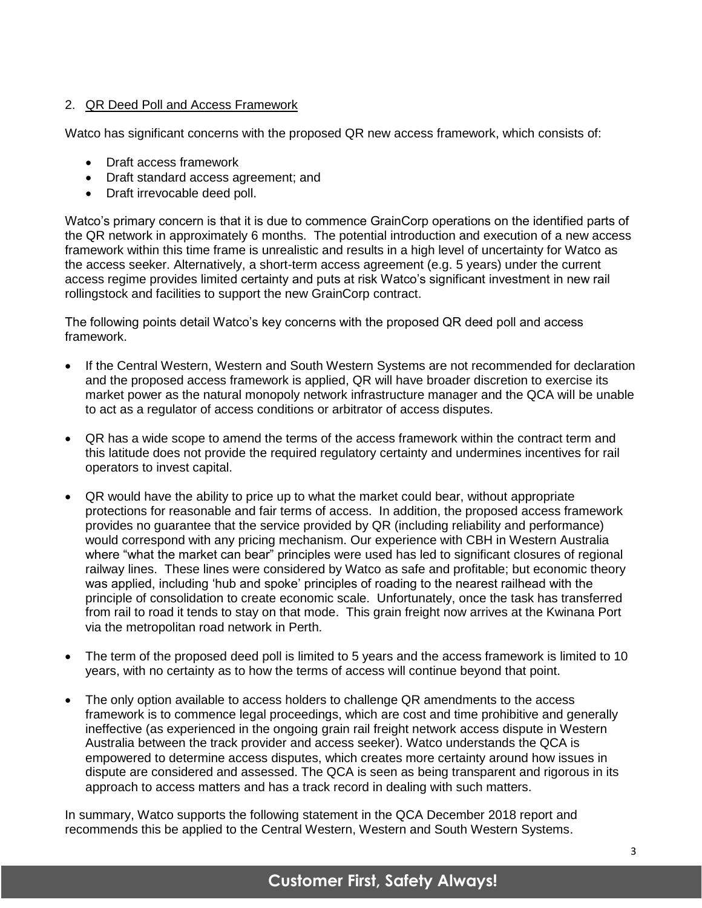### 2. QR Deed Poll and Access Framework

Watco has significant concerns with the proposed QR new access framework, which consists of:

- Draft access framework
- Draft standard access agreement; and
- Draft irrevocable deed poll.

Watco's primary concern is that it is due to commence GrainCorp operations on the identified parts of the QR network in approximately 6 months. The potential introduction and execution of a new access framework within this time frame is unrealistic and results in a high level of uncertainty for Watco as the access seeker. Alternatively, a short-term access agreement (e.g. 5 years) under the current access regime provides limited certainty and puts at risk Watco's significant investment in new rail rollingstock and facilities to support the new GrainCorp contract.

The following points detail Watco's key concerns with the proposed QR deed poll and access framework.

- If the Central Western, Western and South Western Systems are not recommended for declaration and the proposed access framework is applied, QR will have broader discretion to exercise its market power as the natural monopoly network infrastructure manager and the QCA will be unable to act as a regulator of access conditions or arbitrator of access disputes.
- QR has a wide scope to amend the terms of the access framework within the contract term and this latitude does not provide the required regulatory certainty and undermines incentives for rail operators to invest capital.
- QR would have the ability to price up to what the market could bear, without appropriate protections for reasonable and fair terms of access. In addition, the proposed access framework provides no guarantee that the service provided by QR (including reliability and performance) would correspond with any pricing mechanism. Our experience with CBH in Western Australia where "what the market can bear" principles were used has led to significant closures of regional railway lines. These lines were considered by Watco as safe and profitable; but economic theory was applied, including 'hub and spoke' principles of roading to the nearest railhead with the principle of consolidation to create economic scale. Unfortunately, once the task has transferred from rail to road it tends to stay on that mode. This grain freight now arrives at the Kwinana Port via the metropolitan road network in Perth.
- The term of the proposed deed poll is limited to 5 years and the access framework is limited to 10 years, with no certainty as to how the terms of access will continue beyond that point.
- The only option available to access holders to challenge QR amendments to the access framework is to commence legal proceedings, which are cost and time prohibitive and generally ineffective (as experienced in the ongoing grain rail freight network access dispute in Western Australia between the track provider and access seeker). Watco understands the QCA is empowered to determine access disputes, which creates more certainty around how issues in dispute are considered and assessed. The QCA is seen as being transparent and rigorous in its approach to access matters and has a track record in dealing with such matters.

In summary, Watco supports the following statement in the QCA December 2018 report and recommends this be applied to the Central Western, Western and South Western Systems.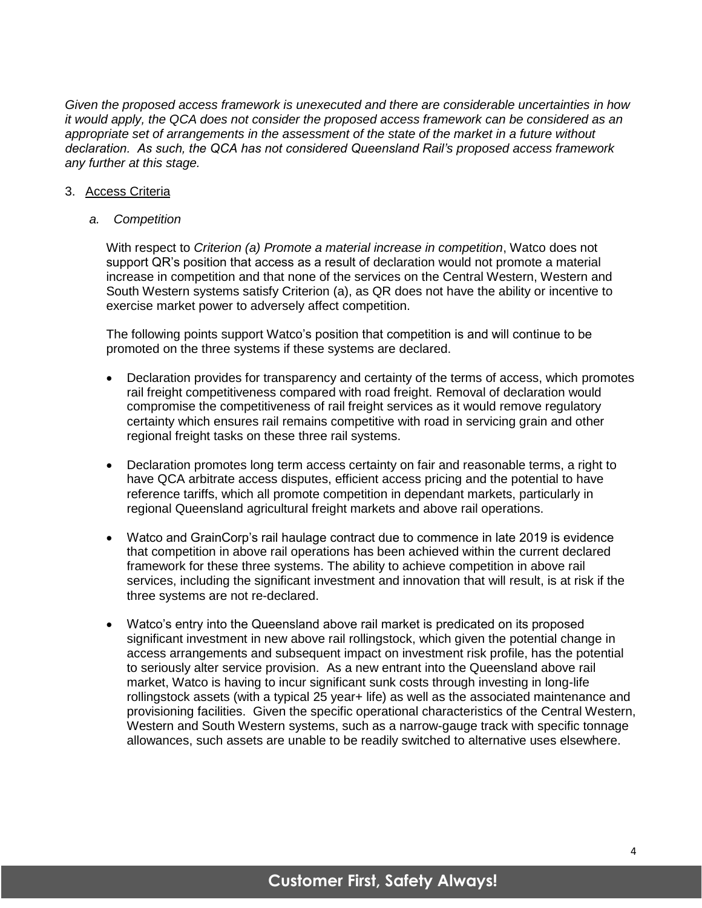*Given the proposed access framework is unexecuted and there are considerable uncertainties in how it would apply, the QCA does not consider the proposed access framework can be considered as an appropriate set of arrangements in the assessment of the state of the market in a future without declaration. As such, the QCA has not considered Queensland Rail's proposed access framework any further at this stage.*

#### 3. Access Criteria

*a. Competition*

With respect to *Criterion (a) Promote a material increase in competition*, Watco does not support QR's position that access as a result of declaration would not promote a material increase in competition and that none of the services on the Central Western, Western and South Western systems satisfy Criterion (a), as QR does not have the ability or incentive to exercise market power to adversely affect competition.

The following points support Watco's position that competition is and will continue to be promoted on the three systems if these systems are declared.

- Declaration provides for transparency and certainty of the terms of access, which promotes rail freight competitiveness compared with road freight. Removal of declaration would compromise the competitiveness of rail freight services as it would remove regulatory certainty which ensures rail remains competitive with road in servicing grain and other regional freight tasks on these three rail systems.
- Declaration promotes long term access certainty on fair and reasonable terms, a right to have QCA arbitrate access disputes, efficient access pricing and the potential to have reference tariffs, which all promote competition in dependant markets, particularly in regional Queensland agricultural freight markets and above rail operations.
- Watco and GrainCorp's rail haulage contract due to commence in late 2019 is evidence that competition in above rail operations has been achieved within the current declared framework for these three systems. The ability to achieve competition in above rail services, including the significant investment and innovation that will result, is at risk if the three systems are not re-declared.
- Watco's entry into the Queensland above rail market is predicated on its proposed significant investment in new above rail rollingstock, which given the potential change in access arrangements and subsequent impact on investment risk profile, has the potential to seriously alter service provision. As a new entrant into the Queensland above rail market, Watco is having to incur significant sunk costs through investing in long-life rollingstock assets (with a typical 25 year+ life) as well as the associated maintenance and provisioning facilities. Given the specific operational characteristics of the Central Western, Western and South Western systems, such as a narrow-gauge track with specific tonnage allowances, such assets are unable to be readily switched to alternative uses elsewhere.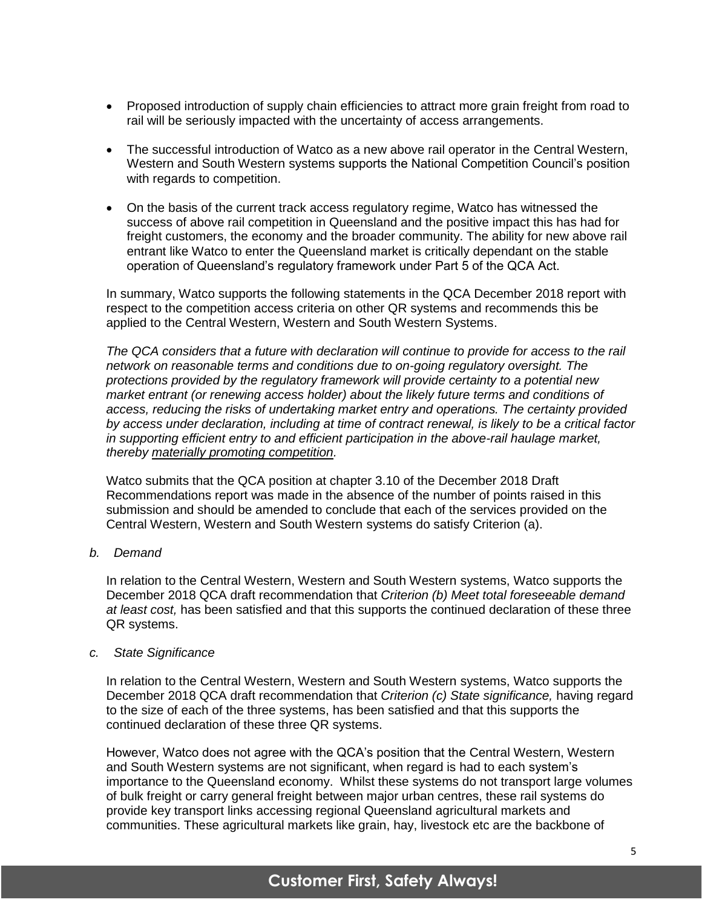- Proposed introduction of supply chain efficiencies to attract more grain freight from road to rail will be seriously impacted with the uncertainty of access arrangements.
- The successful introduction of Watco as a new above rail operator in the Central Western, Western and South Western systems supports the National Competition Council's position with regards to competition.
- On the basis of the current track access regulatory regime, Watco has witnessed the success of above rail competition in Queensland and the positive impact this has had for freight customers, the economy and the broader community. The ability for new above rail entrant like Watco to enter the Queensland market is critically dependant on the stable operation of Queensland's regulatory framework under Part 5 of the QCA Act.

In summary, Watco supports the following statements in the QCA December 2018 report with respect to the competition access criteria on other QR systems and recommends this be applied to the Central Western, Western and South Western Systems.

*The QCA considers that a future with declaration will continue to provide for access to the rail network on reasonable terms and conditions due to on-going regulatory oversight. The protections provided by the regulatory framework will provide certainty to a potential new market entrant (or renewing access holder) about the likely future terms and conditions of access, reducing the risks of undertaking market entry and operations. The certainty provided by access under declaration, including at time of contract renewal, is likely to be a critical factor in supporting efficient entry to and efficient participation in the above-rail haulage market, thereby materially promoting competition.*

Watco submits that the QCA position at chapter 3.10 of the December 2018 Draft Recommendations report was made in the absence of the number of points raised in this submission and should be amended to conclude that each of the services provided on the Central Western, Western and South Western systems do satisfy Criterion (a).

*b. Demand*

In relation to the Central Western, Western and South Western systems, Watco supports the December 2018 QCA draft recommendation that *Criterion (b) Meet total foreseeable demand at least cost,* has been satisfied and that this supports the continued declaration of these three QR systems.

#### *c. State Significance*

In relation to the Central Western, Western and South Western systems, Watco supports the December 2018 QCA draft recommendation that *Criterion (c) State significance,* having regard to the size of each of the three systems, has been satisfied and that this supports the continued declaration of these three QR systems.

However, Watco does not agree with the QCA's position that the Central Western, Western and South Western systems are not significant, when regard is had to each system's importance to the Queensland economy. Whilst these systems do not transport large volumes of bulk freight or carry general freight between major urban centres, these rail systems do provide key transport links accessing regional Queensland agricultural markets and communities. These agricultural markets like grain, hay, livestock etc are the backbone of

# **Customer First, Safety Always!**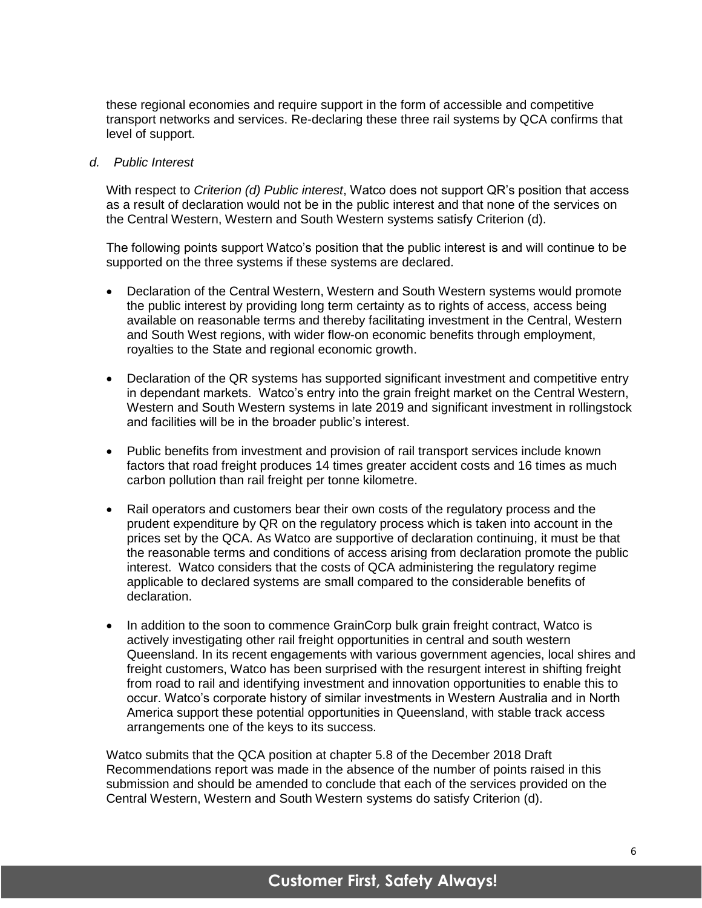these regional economies and require support in the form of accessible and competitive transport networks and services. Re-declaring these three rail systems by QCA confirms that level of support.

#### *d. Public Interest*

With respect to *Criterion (d) Public interest*, Watco does not support QR's position that access as a result of declaration would not be in the public interest and that none of the services on the Central Western, Western and South Western systems satisfy Criterion (d).

The following points support Watco's position that the public interest is and will continue to be supported on the three systems if these systems are declared.

- Declaration of the Central Western, Western and South Western systems would promote the public interest by providing long term certainty as to rights of access, access being available on reasonable terms and thereby facilitating investment in the Central, Western and South West regions, with wider flow-on economic benefits through employment, royalties to the State and regional economic growth.
- Declaration of the QR systems has supported significant investment and competitive entry in dependant markets. Watco's entry into the grain freight market on the Central Western, Western and South Western systems in late 2019 and significant investment in rollingstock and facilities will be in the broader public's interest.
- Public benefits from investment and provision of rail transport services include known factors that road freight produces 14 times greater accident costs and 16 times as much carbon pollution than rail freight per tonne kilometre.
- Rail operators and customers bear their own costs of the regulatory process and the prudent expenditure by QR on the regulatory process which is taken into account in the prices set by the QCA. As Watco are supportive of declaration continuing, it must be that the reasonable terms and conditions of access arising from declaration promote the public interest. Watco considers that the costs of QCA administering the regulatory regime applicable to declared systems are small compared to the considerable benefits of declaration.
- In addition to the soon to commence GrainCorp bulk grain freight contract, Watco is actively investigating other rail freight opportunities in central and south western Queensland. In its recent engagements with various government agencies, local shires and freight customers, Watco has been surprised with the resurgent interest in shifting freight from road to rail and identifying investment and innovation opportunities to enable this to occur. Watco's corporate history of similar investments in Western Australia and in North America support these potential opportunities in Queensland, with stable track access arrangements one of the keys to its success.

Watco submits that the QCA position at chapter 5.8 of the December 2018 Draft Recommendations report was made in the absence of the number of points raised in this submission and should be amended to conclude that each of the services provided on the Central Western, Western and South Western systems do satisfy Criterion (d).